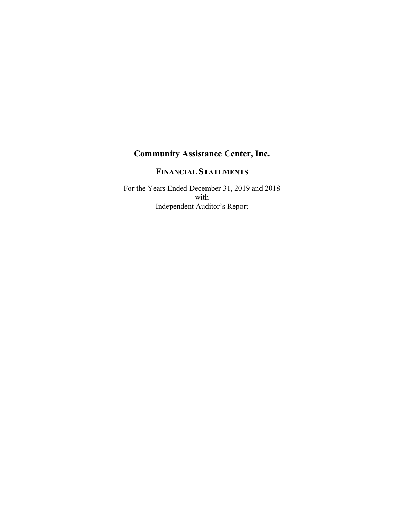# **FINANCIAL STATEMENTS**

For the Years Ended December 31, 2019 and 2018 with Independent Auditor's Report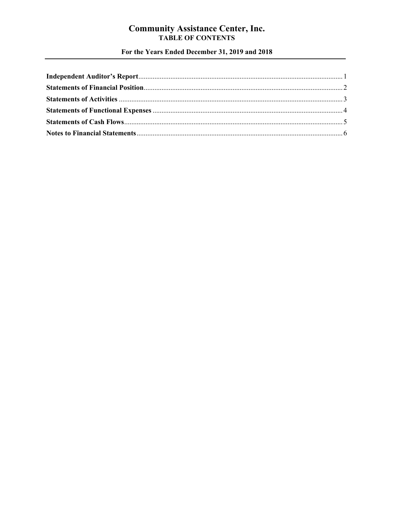# **Community Assistance Center, Inc.<br>TABLE OF CONTENTS**

For the Years Ended December 31, 2019 and 2018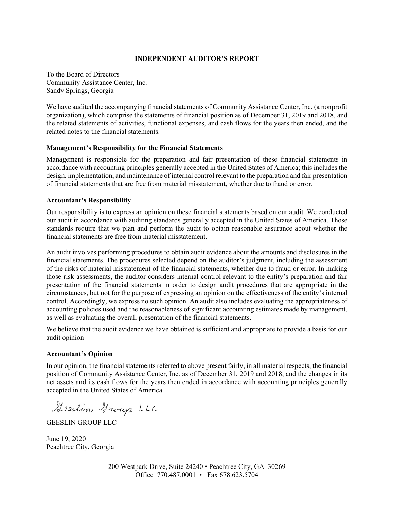#### **INDEPENDENT AUDITOR'S REPORT**

To the Board of Directors Community Assistance Center, Inc. Sandy Springs, Georgia

We have audited the accompanying financial statements of Community Assistance Center, Inc. (a nonprofit organization), which comprise the statements of financial position as of December 31, 2019 and 2018, and the related statements of activities, functional expenses, and cash flows for the years then ended, and the related notes to the financial statements.

#### **Management's Responsibility for the Financial Statements**

Management is responsible for the preparation and fair presentation of these financial statements in accordance with accounting principles generally accepted in the United States of America; this includes the design, implementation, and maintenance of internal control relevant to the preparation and fair presentation of financial statements that are free from material misstatement, whether due to fraud or error.

#### **Accountant's Responsibility**

Our responsibility is to express an opinion on these financial statements based on our audit. We conducted our audit in accordance with auditing standards generally accepted in the United States of America. Those standards require that we plan and perform the audit to obtain reasonable assurance about whether the financial statements are free from material misstatement.

An audit involves performing procedures to obtain audit evidence about the amounts and disclosures in the financial statements. The procedures selected depend on the auditor's judgment, including the assessment of the risks of material misstatement of the financial statements, whether due to fraud or error. In making those risk assessments, the auditor considers internal control relevant to the entity's preparation and fair presentation of the financial statements in order to design audit procedures that are appropriate in the circumstances, but not for the purpose of expressing an opinion on the effectiveness of the entity's internal control. Accordingly, we express no such opinion. An audit also includes evaluating the appropriateness of accounting policies used and the reasonableness of significant accounting estimates made by management, as well as evaluating the overall presentation of the financial statements.

We believe that the audit evidence we have obtained is sufficient and appropriate to provide a basis for our audit opinion

#### **Accountant's Opinion**

In our opinion, the financial statements referred to above present fairly, in all material respects, the financial position of Community Assistance Center, Inc. as of December 31, 2019 and 2018, and the changes in its net assets and its cash flows for the years then ended in accordance with accounting principles generally accepted in the United States of America.

Geeslin Group LLC

GEESLIN GROUP LLC

June 19, 2020 Peachtree City, Georgia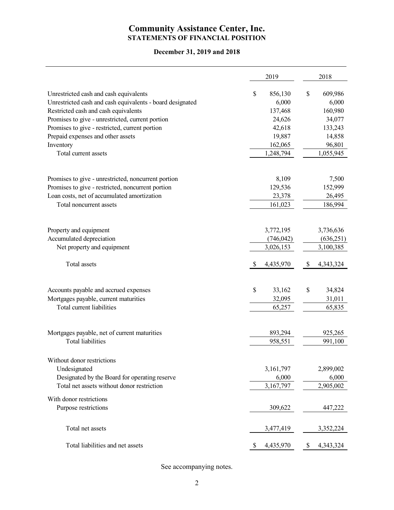# **Community Assistance Center, Inc. STATEMENTS OF FINANCIAL POSITION**

# **December 31, 2019 and 2018**

|                                                           | 2019                      | 2018                    |
|-----------------------------------------------------------|---------------------------|-------------------------|
| Unrestricted cash and cash equivalents                    | \$<br>856,130             | $\mathbb{S}$<br>609,986 |
| Unrestricted cash and cash equivalents - board designated | 6,000                     | 6,000                   |
| Restricted cash and cash equivalents                      | 137,468                   | 160,980                 |
| Promises to give - unrestricted, current portion          | 24,626                    | 34,077                  |
| Promises to give - restricted, current portion            | 42,618                    | 133,243                 |
| Prepaid expenses and other assets                         | 19,887                    | 14,858                  |
| Inventory                                                 | 162,065                   | 96,801                  |
| Total current assets                                      | 1,248,794                 | 1,055,945               |
|                                                           |                           |                         |
| Promises to give - unrestricted, noncurrent portion       | 8,109                     | 7,500                   |
| Promises to give - restricted, noncurrent portion         | 129,536                   | 152,999                 |
| Loan costs, net of accumulated amortization               | 23,378                    | 26,495                  |
| Total noncurrent assets                                   | 161,023                   | 186,994                 |
|                                                           |                           |                         |
| Property and equipment                                    | 3,772,195                 | 3,736,636               |
| Accumulated depreciation                                  | (746, 042)                | (636, 251)              |
| Net property and equipment                                | 3,026,153                 | 3,100,385               |
| Total assets                                              | \$<br>4,435,970           | 4,343,324<br>S          |
|                                                           |                           |                         |
| Accounts payable and accrued expenses                     | \$<br>33,162              | \$<br>34,824            |
| Mortgages payable, current maturities                     | 32,095                    | 31,011                  |
| Total current liabilities                                 | 65,257                    | 65,835                  |
|                                                           |                           |                         |
| Mortgages payable, net of current maturities              | 893,294                   | 925,265                 |
| <b>Total liabilities</b>                                  | 958,551                   | 991,100                 |
| Without donor restrictions                                |                           |                         |
| Undesignated                                              | 3,161,797                 | 2,899,002               |
| Designated by the Board for operating reserve             | 6,000                     | 6,000                   |
| Total net assets without donor restriction                | 3,167,797                 | 2,905,002               |
| With donor restrictions                                   |                           |                         |
| Purpose restrictions                                      | 309,622                   | 447,222                 |
| Total net assets                                          | 3,477,419                 | 3,352,224               |
|                                                           |                           |                         |
| Total liabilities and net assets                          | 4,435,970<br><sup>2</sup> | 4,343,324<br>\$         |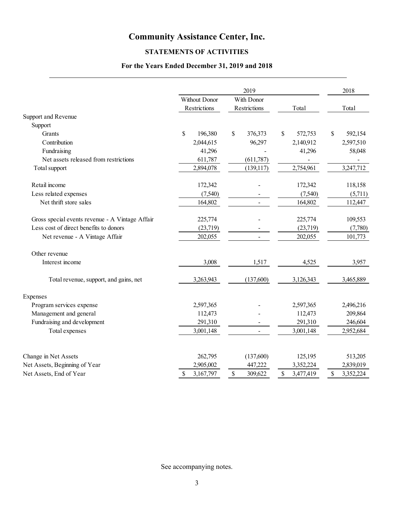# **STATEMENTS OF ACTIVITIES**

# **For the Years Ended December 31, 2019 and 2018**

| Without Donor<br>With Donor<br>Restrictions<br>Restrictions<br>Total<br>Total<br>Support and Revenue<br>Support<br>$\mathbb{S}$<br>196,380<br>\$<br>376,373<br>$\mathbb{S}$<br>572,753<br>$\mathcal{S}$<br>592,154<br>Grants<br>Contribution<br>2,044,615<br>96,297<br>2,140,912<br>2,597,510<br>Fundraising<br>41,296<br>41,296<br>58,048<br>Net assets released from restrictions<br>611,787<br>(611, 787)<br>2,754,961<br>3,247,712<br>2,894,078<br>(139, 117)<br>Total support<br>Retail income<br>118,158<br>172,342<br>172,342<br>Less related expenses<br>(7,540)<br>(7,540)<br>(5,711)<br>Net thrift store sales<br>164,802<br>164,802<br>112,447<br>$\sim$<br>Gross special events revenue - A Vintage Affair<br>225,774<br>225,774<br>109,553<br>Less cost of direct benefits to donors<br>(23,719)<br>(23,719)<br>(7,780)<br>Net revenue - A Vintage Affair<br>202,055<br>202,055<br>101,773<br>Other revenue<br>Interest income<br>3,008<br>1,517<br>4,525<br>3,957<br>3,263,943<br>(137,600)<br>3,126,343<br>3,465,889<br>Total revenue, support, and gains, net<br>Program services expense<br>2,597,365<br>2,597,365<br>2,496,216<br>Management and general<br>112,473<br>112,473<br>209,864<br>Fundraising and development<br>291,310<br>291,310<br>246,604<br>3,001,148<br>3,001,148<br>2,952,684<br>Total expenses<br>Change in Net Assets<br>262,795<br>(137,600)<br>125,195<br>513,205<br>Net Assets, Beginning of Year<br>2,905,002<br>447,222<br>3,352,224<br>2,839,019<br>Net Assets, End of Year<br>3,167,797<br>\$<br>3,477,419<br>3,352,224<br>309,622<br>\$<br>\$<br>\$ |          | 2019 | 2018 |
|----------------------------------------------------------------------------------------------------------------------------------------------------------------------------------------------------------------------------------------------------------------------------------------------------------------------------------------------------------------------------------------------------------------------------------------------------------------------------------------------------------------------------------------------------------------------------------------------------------------------------------------------------------------------------------------------------------------------------------------------------------------------------------------------------------------------------------------------------------------------------------------------------------------------------------------------------------------------------------------------------------------------------------------------------------------------------------------------------------------------------------------------------------------------------------------------------------------------------------------------------------------------------------------------------------------------------------------------------------------------------------------------------------------------------------------------------------------------------------------------------------------------------------------------------------------------------------------------------|----------|------|------|
|                                                                                                                                                                                                                                                                                                                                                                                                                                                                                                                                                                                                                                                                                                                                                                                                                                                                                                                                                                                                                                                                                                                                                                                                                                                                                                                                                                                                                                                                                                                                                                                                    |          |      |      |
|                                                                                                                                                                                                                                                                                                                                                                                                                                                                                                                                                                                                                                                                                                                                                                                                                                                                                                                                                                                                                                                                                                                                                                                                                                                                                                                                                                                                                                                                                                                                                                                                    |          |      |      |
|                                                                                                                                                                                                                                                                                                                                                                                                                                                                                                                                                                                                                                                                                                                                                                                                                                                                                                                                                                                                                                                                                                                                                                                                                                                                                                                                                                                                                                                                                                                                                                                                    |          |      |      |
|                                                                                                                                                                                                                                                                                                                                                                                                                                                                                                                                                                                                                                                                                                                                                                                                                                                                                                                                                                                                                                                                                                                                                                                                                                                                                                                                                                                                                                                                                                                                                                                                    |          |      |      |
|                                                                                                                                                                                                                                                                                                                                                                                                                                                                                                                                                                                                                                                                                                                                                                                                                                                                                                                                                                                                                                                                                                                                                                                                                                                                                                                                                                                                                                                                                                                                                                                                    |          |      |      |
|                                                                                                                                                                                                                                                                                                                                                                                                                                                                                                                                                                                                                                                                                                                                                                                                                                                                                                                                                                                                                                                                                                                                                                                                                                                                                                                                                                                                                                                                                                                                                                                                    |          |      |      |
|                                                                                                                                                                                                                                                                                                                                                                                                                                                                                                                                                                                                                                                                                                                                                                                                                                                                                                                                                                                                                                                                                                                                                                                                                                                                                                                                                                                                                                                                                                                                                                                                    |          |      |      |
|                                                                                                                                                                                                                                                                                                                                                                                                                                                                                                                                                                                                                                                                                                                                                                                                                                                                                                                                                                                                                                                                                                                                                                                                                                                                                                                                                                                                                                                                                                                                                                                                    |          |      |      |
|                                                                                                                                                                                                                                                                                                                                                                                                                                                                                                                                                                                                                                                                                                                                                                                                                                                                                                                                                                                                                                                                                                                                                                                                                                                                                                                                                                                                                                                                                                                                                                                                    |          |      |      |
|                                                                                                                                                                                                                                                                                                                                                                                                                                                                                                                                                                                                                                                                                                                                                                                                                                                                                                                                                                                                                                                                                                                                                                                                                                                                                                                                                                                                                                                                                                                                                                                                    |          |      |      |
|                                                                                                                                                                                                                                                                                                                                                                                                                                                                                                                                                                                                                                                                                                                                                                                                                                                                                                                                                                                                                                                                                                                                                                                                                                                                                                                                                                                                                                                                                                                                                                                                    |          |      |      |
|                                                                                                                                                                                                                                                                                                                                                                                                                                                                                                                                                                                                                                                                                                                                                                                                                                                                                                                                                                                                                                                                                                                                                                                                                                                                                                                                                                                                                                                                                                                                                                                                    |          |      |      |
|                                                                                                                                                                                                                                                                                                                                                                                                                                                                                                                                                                                                                                                                                                                                                                                                                                                                                                                                                                                                                                                                                                                                                                                                                                                                                                                                                                                                                                                                                                                                                                                                    |          |      |      |
|                                                                                                                                                                                                                                                                                                                                                                                                                                                                                                                                                                                                                                                                                                                                                                                                                                                                                                                                                                                                                                                                                                                                                                                                                                                                                                                                                                                                                                                                                                                                                                                                    |          |      |      |
|                                                                                                                                                                                                                                                                                                                                                                                                                                                                                                                                                                                                                                                                                                                                                                                                                                                                                                                                                                                                                                                                                                                                                                                                                                                                                                                                                                                                                                                                                                                                                                                                    |          |      |      |
|                                                                                                                                                                                                                                                                                                                                                                                                                                                                                                                                                                                                                                                                                                                                                                                                                                                                                                                                                                                                                                                                                                                                                                                                                                                                                                                                                                                                                                                                                                                                                                                                    |          |      |      |
|                                                                                                                                                                                                                                                                                                                                                                                                                                                                                                                                                                                                                                                                                                                                                                                                                                                                                                                                                                                                                                                                                                                                                                                                                                                                                                                                                                                                                                                                                                                                                                                                    |          |      |      |
|                                                                                                                                                                                                                                                                                                                                                                                                                                                                                                                                                                                                                                                                                                                                                                                                                                                                                                                                                                                                                                                                                                                                                                                                                                                                                                                                                                                                                                                                                                                                                                                                    |          |      |      |
|                                                                                                                                                                                                                                                                                                                                                                                                                                                                                                                                                                                                                                                                                                                                                                                                                                                                                                                                                                                                                                                                                                                                                                                                                                                                                                                                                                                                                                                                                                                                                                                                    | Expenses |      |      |
|                                                                                                                                                                                                                                                                                                                                                                                                                                                                                                                                                                                                                                                                                                                                                                                                                                                                                                                                                                                                                                                                                                                                                                                                                                                                                                                                                                                                                                                                                                                                                                                                    |          |      |      |
|                                                                                                                                                                                                                                                                                                                                                                                                                                                                                                                                                                                                                                                                                                                                                                                                                                                                                                                                                                                                                                                                                                                                                                                                                                                                                                                                                                                                                                                                                                                                                                                                    |          |      |      |
|                                                                                                                                                                                                                                                                                                                                                                                                                                                                                                                                                                                                                                                                                                                                                                                                                                                                                                                                                                                                                                                                                                                                                                                                                                                                                                                                                                                                                                                                                                                                                                                                    |          |      |      |
|                                                                                                                                                                                                                                                                                                                                                                                                                                                                                                                                                                                                                                                                                                                                                                                                                                                                                                                                                                                                                                                                                                                                                                                                                                                                                                                                                                                                                                                                                                                                                                                                    |          |      |      |
|                                                                                                                                                                                                                                                                                                                                                                                                                                                                                                                                                                                                                                                                                                                                                                                                                                                                                                                                                                                                                                                                                                                                                                                                                                                                                                                                                                                                                                                                                                                                                                                                    |          |      |      |
|                                                                                                                                                                                                                                                                                                                                                                                                                                                                                                                                                                                                                                                                                                                                                                                                                                                                                                                                                                                                                                                                                                                                                                                                                                                                                                                                                                                                                                                                                                                                                                                                    |          |      |      |
|                                                                                                                                                                                                                                                                                                                                                                                                                                                                                                                                                                                                                                                                                                                                                                                                                                                                                                                                                                                                                                                                                                                                                                                                                                                                                                                                                                                                                                                                                                                                                                                                    |          |      |      |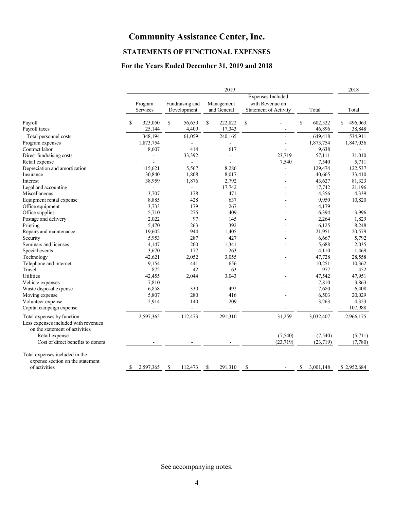# **STATEMENTS OF FUNCTIONAL EXPENSES**

# **For the Years Ended December 31, 2019 and 2018**

| Expenses Included<br>with Revenue on<br>Fundraising and<br>Program<br>Management<br>Services<br>Development<br>and General<br><b>Statement of Activity</b><br>Total<br>\$<br>\$<br>\$<br>\$<br>Payroll<br>\$<br>323,050<br>56,650<br>222,822<br>602,522<br>\$<br>$\overline{a}$<br>4,409<br>17,343<br>46,896<br>Payroll taxes<br>25,144<br>348,194<br>61,059<br>240,165<br>649,418<br>Total personnel costs<br>Program expenses<br>1,873,754<br>1,873,754<br>÷<br>Contract labor<br>8,607<br>414<br>617<br>9,638<br>Direct fundraising costs<br>33,392<br>23,719<br>57,111<br>÷,<br>7,540<br>Retail expense<br>7,540<br>$\sim$<br>Depreciation and amortization<br>5,567<br>115,621<br>8,286<br>129,474<br>۳<br>Insurance<br>30,840<br>1,808<br>8,017<br>40,665<br>38,959<br>1,876<br>2,792<br>43,627<br>Interest<br>Legal and accounting<br>17,742<br>17,742<br>$\sim$<br>Miscellaneous<br>3.707<br>178<br>471<br>4,356<br>428<br>Equipment rental expense<br>8,885<br>637<br>9,950<br>Office equipment<br>3,733<br>179<br>267<br>4,179<br>Office supplies<br>5,710<br>275<br>409<br>6,394<br>97<br>Postage and delivery<br>2,022<br>145<br>2,264<br>263<br>392<br>6,125<br>Printing<br>5,470<br>Repairs and maintenance<br>19,602<br>944<br>1,405<br>21,951<br>5,953<br>287<br>427<br>6,667<br>Security<br>Seminars and licenses<br>4.147<br>200<br>1,341<br>5,688<br>Special events<br>3,670<br>177<br>263<br>4,110<br>Technology<br>42,621<br>2,052<br>3,055<br>47,728<br>Telephone and internet<br>9,154<br>441<br>656<br>10,251<br>Travel<br>872<br>977<br>42<br>63<br>Utilities<br>42,455<br>2,044<br>3,043<br>47,542<br>Vehicle expenses<br>7,810<br>7,810<br>$\sim$<br>Waste disposal expense<br>6,858<br>330<br>492<br>7,680<br>Moving expense<br>5,807<br>280<br>416<br>6,503<br>140<br>209<br>Volunteer expense<br>2,914<br>3,263<br>Capital campaign expense<br>$\blacksquare$<br>$\sim$<br>$\overline{\phantom{a}}$<br>Total expenses by function<br>2,597,365<br>112,473<br>291,310<br>31,259<br>3,032,407<br>Less expenses included with revenues<br>on the statement of activities<br>Retail expense<br>(7,540)<br>(7,540)<br>Cost of direct benefits to donors<br>(23,719)<br>(23,719)<br>Total expenses included in the<br>expense section on the statement |               |  |  | 2019 |    |  | 2018              |
|--------------------------------------------------------------------------------------------------------------------------------------------------------------------------------------------------------------------------------------------------------------------------------------------------------------------------------------------------------------------------------------------------------------------------------------------------------------------------------------------------------------------------------------------------------------------------------------------------------------------------------------------------------------------------------------------------------------------------------------------------------------------------------------------------------------------------------------------------------------------------------------------------------------------------------------------------------------------------------------------------------------------------------------------------------------------------------------------------------------------------------------------------------------------------------------------------------------------------------------------------------------------------------------------------------------------------------------------------------------------------------------------------------------------------------------------------------------------------------------------------------------------------------------------------------------------------------------------------------------------------------------------------------------------------------------------------------------------------------------------------------------------------------------------------------------------------------------------------------------------------------------------------------------------------------------------------------------------------------------------------------------------------------------------------------------------------------------------------------------------------------------------------------------------------------------------------------------------------------------------------------------------------------|---------------|--|--|------|----|--|-------------------|
|                                                                                                                                                                                                                                                                                                                                                                                                                                                                                                                                                                                                                                                                                                                                                                                                                                                                                                                                                                                                                                                                                                                                                                                                                                                                                                                                                                                                                                                                                                                                                                                                                                                                                                                                                                                                                                                                                                                                                                                                                                                                                                                                                                                                                                                                                |               |  |  |      |    |  | Total             |
|                                                                                                                                                                                                                                                                                                                                                                                                                                                                                                                                                                                                                                                                                                                                                                                                                                                                                                                                                                                                                                                                                                                                                                                                                                                                                                                                                                                                                                                                                                                                                                                                                                                                                                                                                                                                                                                                                                                                                                                                                                                                                                                                                                                                                                                                                |               |  |  |      |    |  | 496,063<br>38,848 |
|                                                                                                                                                                                                                                                                                                                                                                                                                                                                                                                                                                                                                                                                                                                                                                                                                                                                                                                                                                                                                                                                                                                                                                                                                                                                                                                                                                                                                                                                                                                                                                                                                                                                                                                                                                                                                                                                                                                                                                                                                                                                                                                                                                                                                                                                                |               |  |  |      |    |  |                   |
|                                                                                                                                                                                                                                                                                                                                                                                                                                                                                                                                                                                                                                                                                                                                                                                                                                                                                                                                                                                                                                                                                                                                                                                                                                                                                                                                                                                                                                                                                                                                                                                                                                                                                                                                                                                                                                                                                                                                                                                                                                                                                                                                                                                                                                                                                |               |  |  |      |    |  | 534,911           |
|                                                                                                                                                                                                                                                                                                                                                                                                                                                                                                                                                                                                                                                                                                                                                                                                                                                                                                                                                                                                                                                                                                                                                                                                                                                                                                                                                                                                                                                                                                                                                                                                                                                                                                                                                                                                                                                                                                                                                                                                                                                                                                                                                                                                                                                                                |               |  |  |      |    |  | 1,847,036         |
|                                                                                                                                                                                                                                                                                                                                                                                                                                                                                                                                                                                                                                                                                                                                                                                                                                                                                                                                                                                                                                                                                                                                                                                                                                                                                                                                                                                                                                                                                                                                                                                                                                                                                                                                                                                                                                                                                                                                                                                                                                                                                                                                                                                                                                                                                |               |  |  |      |    |  |                   |
|                                                                                                                                                                                                                                                                                                                                                                                                                                                                                                                                                                                                                                                                                                                                                                                                                                                                                                                                                                                                                                                                                                                                                                                                                                                                                                                                                                                                                                                                                                                                                                                                                                                                                                                                                                                                                                                                                                                                                                                                                                                                                                                                                                                                                                                                                |               |  |  |      |    |  | 31,010            |
|                                                                                                                                                                                                                                                                                                                                                                                                                                                                                                                                                                                                                                                                                                                                                                                                                                                                                                                                                                                                                                                                                                                                                                                                                                                                                                                                                                                                                                                                                                                                                                                                                                                                                                                                                                                                                                                                                                                                                                                                                                                                                                                                                                                                                                                                                |               |  |  |      |    |  | 5,711             |
|                                                                                                                                                                                                                                                                                                                                                                                                                                                                                                                                                                                                                                                                                                                                                                                                                                                                                                                                                                                                                                                                                                                                                                                                                                                                                                                                                                                                                                                                                                                                                                                                                                                                                                                                                                                                                                                                                                                                                                                                                                                                                                                                                                                                                                                                                |               |  |  |      |    |  | 122,537           |
|                                                                                                                                                                                                                                                                                                                                                                                                                                                                                                                                                                                                                                                                                                                                                                                                                                                                                                                                                                                                                                                                                                                                                                                                                                                                                                                                                                                                                                                                                                                                                                                                                                                                                                                                                                                                                                                                                                                                                                                                                                                                                                                                                                                                                                                                                |               |  |  |      |    |  | 33,410            |
|                                                                                                                                                                                                                                                                                                                                                                                                                                                                                                                                                                                                                                                                                                                                                                                                                                                                                                                                                                                                                                                                                                                                                                                                                                                                                                                                                                                                                                                                                                                                                                                                                                                                                                                                                                                                                                                                                                                                                                                                                                                                                                                                                                                                                                                                                |               |  |  |      |    |  | 81,323            |
|                                                                                                                                                                                                                                                                                                                                                                                                                                                                                                                                                                                                                                                                                                                                                                                                                                                                                                                                                                                                                                                                                                                                                                                                                                                                                                                                                                                                                                                                                                                                                                                                                                                                                                                                                                                                                                                                                                                                                                                                                                                                                                                                                                                                                                                                                |               |  |  |      |    |  | 21,196            |
|                                                                                                                                                                                                                                                                                                                                                                                                                                                                                                                                                                                                                                                                                                                                                                                                                                                                                                                                                                                                                                                                                                                                                                                                                                                                                                                                                                                                                                                                                                                                                                                                                                                                                                                                                                                                                                                                                                                                                                                                                                                                                                                                                                                                                                                                                |               |  |  |      |    |  | 4,339             |
|                                                                                                                                                                                                                                                                                                                                                                                                                                                                                                                                                                                                                                                                                                                                                                                                                                                                                                                                                                                                                                                                                                                                                                                                                                                                                                                                                                                                                                                                                                                                                                                                                                                                                                                                                                                                                                                                                                                                                                                                                                                                                                                                                                                                                                                                                |               |  |  |      |    |  | 10,820            |
|                                                                                                                                                                                                                                                                                                                                                                                                                                                                                                                                                                                                                                                                                                                                                                                                                                                                                                                                                                                                                                                                                                                                                                                                                                                                                                                                                                                                                                                                                                                                                                                                                                                                                                                                                                                                                                                                                                                                                                                                                                                                                                                                                                                                                                                                                |               |  |  |      |    |  |                   |
|                                                                                                                                                                                                                                                                                                                                                                                                                                                                                                                                                                                                                                                                                                                                                                                                                                                                                                                                                                                                                                                                                                                                                                                                                                                                                                                                                                                                                                                                                                                                                                                                                                                                                                                                                                                                                                                                                                                                                                                                                                                                                                                                                                                                                                                                                |               |  |  |      |    |  | 3,996             |
|                                                                                                                                                                                                                                                                                                                                                                                                                                                                                                                                                                                                                                                                                                                                                                                                                                                                                                                                                                                                                                                                                                                                                                                                                                                                                                                                                                                                                                                                                                                                                                                                                                                                                                                                                                                                                                                                                                                                                                                                                                                                                                                                                                                                                                                                                |               |  |  |      |    |  | 1,829             |
|                                                                                                                                                                                                                                                                                                                                                                                                                                                                                                                                                                                                                                                                                                                                                                                                                                                                                                                                                                                                                                                                                                                                                                                                                                                                                                                                                                                                                                                                                                                                                                                                                                                                                                                                                                                                                                                                                                                                                                                                                                                                                                                                                                                                                                                                                |               |  |  |      |    |  | 8,248             |
|                                                                                                                                                                                                                                                                                                                                                                                                                                                                                                                                                                                                                                                                                                                                                                                                                                                                                                                                                                                                                                                                                                                                                                                                                                                                                                                                                                                                                                                                                                                                                                                                                                                                                                                                                                                                                                                                                                                                                                                                                                                                                                                                                                                                                                                                                |               |  |  |      |    |  | 20,579            |
|                                                                                                                                                                                                                                                                                                                                                                                                                                                                                                                                                                                                                                                                                                                                                                                                                                                                                                                                                                                                                                                                                                                                                                                                                                                                                                                                                                                                                                                                                                                                                                                                                                                                                                                                                                                                                                                                                                                                                                                                                                                                                                                                                                                                                                                                                |               |  |  |      |    |  | 5,792             |
|                                                                                                                                                                                                                                                                                                                                                                                                                                                                                                                                                                                                                                                                                                                                                                                                                                                                                                                                                                                                                                                                                                                                                                                                                                                                                                                                                                                                                                                                                                                                                                                                                                                                                                                                                                                                                                                                                                                                                                                                                                                                                                                                                                                                                                                                                |               |  |  |      |    |  | 2.035             |
|                                                                                                                                                                                                                                                                                                                                                                                                                                                                                                                                                                                                                                                                                                                                                                                                                                                                                                                                                                                                                                                                                                                                                                                                                                                                                                                                                                                                                                                                                                                                                                                                                                                                                                                                                                                                                                                                                                                                                                                                                                                                                                                                                                                                                                                                                |               |  |  |      |    |  | 1,469             |
|                                                                                                                                                                                                                                                                                                                                                                                                                                                                                                                                                                                                                                                                                                                                                                                                                                                                                                                                                                                                                                                                                                                                                                                                                                                                                                                                                                                                                                                                                                                                                                                                                                                                                                                                                                                                                                                                                                                                                                                                                                                                                                                                                                                                                                                                                |               |  |  |      |    |  | 28,558            |
|                                                                                                                                                                                                                                                                                                                                                                                                                                                                                                                                                                                                                                                                                                                                                                                                                                                                                                                                                                                                                                                                                                                                                                                                                                                                                                                                                                                                                                                                                                                                                                                                                                                                                                                                                                                                                                                                                                                                                                                                                                                                                                                                                                                                                                                                                |               |  |  |      |    |  | 10,362            |
|                                                                                                                                                                                                                                                                                                                                                                                                                                                                                                                                                                                                                                                                                                                                                                                                                                                                                                                                                                                                                                                                                                                                                                                                                                                                                                                                                                                                                                                                                                                                                                                                                                                                                                                                                                                                                                                                                                                                                                                                                                                                                                                                                                                                                                                                                |               |  |  |      |    |  | 452               |
|                                                                                                                                                                                                                                                                                                                                                                                                                                                                                                                                                                                                                                                                                                                                                                                                                                                                                                                                                                                                                                                                                                                                                                                                                                                                                                                                                                                                                                                                                                                                                                                                                                                                                                                                                                                                                                                                                                                                                                                                                                                                                                                                                                                                                                                                                |               |  |  |      |    |  | 47,951            |
|                                                                                                                                                                                                                                                                                                                                                                                                                                                                                                                                                                                                                                                                                                                                                                                                                                                                                                                                                                                                                                                                                                                                                                                                                                                                                                                                                                                                                                                                                                                                                                                                                                                                                                                                                                                                                                                                                                                                                                                                                                                                                                                                                                                                                                                                                |               |  |  |      |    |  | 3,863             |
|                                                                                                                                                                                                                                                                                                                                                                                                                                                                                                                                                                                                                                                                                                                                                                                                                                                                                                                                                                                                                                                                                                                                                                                                                                                                                                                                                                                                                                                                                                                                                                                                                                                                                                                                                                                                                                                                                                                                                                                                                                                                                                                                                                                                                                                                                |               |  |  |      |    |  | 6,408             |
|                                                                                                                                                                                                                                                                                                                                                                                                                                                                                                                                                                                                                                                                                                                                                                                                                                                                                                                                                                                                                                                                                                                                                                                                                                                                                                                                                                                                                                                                                                                                                                                                                                                                                                                                                                                                                                                                                                                                                                                                                                                                                                                                                                                                                                                                                |               |  |  |      |    |  | 20,029            |
|                                                                                                                                                                                                                                                                                                                                                                                                                                                                                                                                                                                                                                                                                                                                                                                                                                                                                                                                                                                                                                                                                                                                                                                                                                                                                                                                                                                                                                                                                                                                                                                                                                                                                                                                                                                                                                                                                                                                                                                                                                                                                                                                                                                                                                                                                |               |  |  |      |    |  | 4,323             |
|                                                                                                                                                                                                                                                                                                                                                                                                                                                                                                                                                                                                                                                                                                                                                                                                                                                                                                                                                                                                                                                                                                                                                                                                                                                                                                                                                                                                                                                                                                                                                                                                                                                                                                                                                                                                                                                                                                                                                                                                                                                                                                                                                                                                                                                                                |               |  |  |      |    |  | 107,988           |
|                                                                                                                                                                                                                                                                                                                                                                                                                                                                                                                                                                                                                                                                                                                                                                                                                                                                                                                                                                                                                                                                                                                                                                                                                                                                                                                                                                                                                                                                                                                                                                                                                                                                                                                                                                                                                                                                                                                                                                                                                                                                                                                                                                                                                                                                                |               |  |  |      |    |  | 2,966,175         |
|                                                                                                                                                                                                                                                                                                                                                                                                                                                                                                                                                                                                                                                                                                                                                                                                                                                                                                                                                                                                                                                                                                                                                                                                                                                                                                                                                                                                                                                                                                                                                                                                                                                                                                                                                                                                                                                                                                                                                                                                                                                                                                                                                                                                                                                                                |               |  |  |      |    |  |                   |
|                                                                                                                                                                                                                                                                                                                                                                                                                                                                                                                                                                                                                                                                                                                                                                                                                                                                                                                                                                                                                                                                                                                                                                                                                                                                                                                                                                                                                                                                                                                                                                                                                                                                                                                                                                                                                                                                                                                                                                                                                                                                                                                                                                                                                                                                                |               |  |  |      |    |  | (5,711)           |
|                                                                                                                                                                                                                                                                                                                                                                                                                                                                                                                                                                                                                                                                                                                                                                                                                                                                                                                                                                                                                                                                                                                                                                                                                                                                                                                                                                                                                                                                                                                                                                                                                                                                                                                                                                                                                                                                                                                                                                                                                                                                                                                                                                                                                                                                                |               |  |  |      |    |  | (7,780)           |
|                                                                                                                                                                                                                                                                                                                                                                                                                                                                                                                                                                                                                                                                                                                                                                                                                                                                                                                                                                                                                                                                                                                                                                                                                                                                                                                                                                                                                                                                                                                                                                                                                                                                                                                                                                                                                                                                                                                                                                                                                                                                                                                                                                                                                                                                                |               |  |  |      |    |  |                   |
| 2,597,365<br>S.<br>112,473<br>\$<br>291,310<br>\$<br>3,001,148<br>S                                                                                                                                                                                                                                                                                                                                                                                                                                                                                                                                                                                                                                                                                                                                                                                                                                                                                                                                                                                                                                                                                                                                                                                                                                                                                                                                                                                                                                                                                                                                                                                                                                                                                                                                                                                                                                                                                                                                                                                                                                                                                                                                                                                                            | of activities |  |  |      | \$ |  | \$2,952,684       |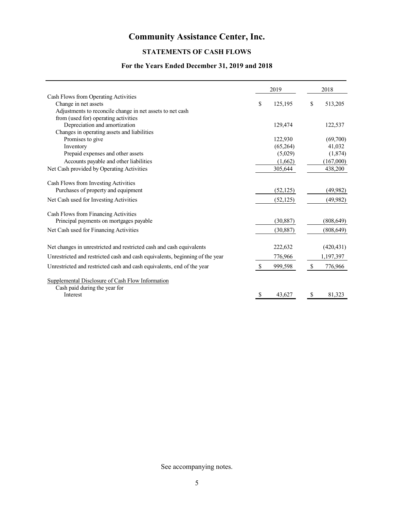# **STATEMENTS OF CASH FLOWS**

# **For the Years Ended December 31, 2019 and 2018**

|                                                                              |               | 2019      |               | 2018       |
|------------------------------------------------------------------------------|---------------|-----------|---------------|------------|
| Cash Flows from Operating Activities                                         |               |           |               |            |
| Change in net assets                                                         | \$            | 125,195   | \$            | 513,205    |
| Adjustments to reconcile change in net assets to net cash                    |               |           |               |            |
| from (used for) operating activities                                         |               |           |               |            |
| Depreciation and amortization                                                |               | 129,474   |               | 122,537    |
| Changes in operating assets and liabilities                                  |               |           |               |            |
| Promises to give                                                             |               | 122,930   |               | (69,700)   |
| Inventory                                                                    |               | (65,264)  |               | 41,032     |
| Prepaid expenses and other assets                                            |               | (5,029)   |               | (1,874)    |
| Accounts payable and other liabilities                                       |               | (1,662)   |               | (167,000)  |
| Net Cash provided by Operating Activities                                    |               | 305,644   |               | 438,200    |
| Cash Flows from Investing Activities                                         |               |           |               |            |
| Purchases of property and equipment                                          |               | (52, 125) |               | (49, 982)  |
| Net Cash used for Investing Activities                                       |               | (52, 125) |               | (49, 982)  |
| Cash Flows from Financing Activities                                         |               |           |               |            |
| Principal payments on mortgages payable                                      |               | (30, 887) |               | (808, 649) |
| Net Cash used for Financing Activities                                       |               | (30, 887) |               | (808, 649) |
| Net changes in unrestricted and restricted cash and cash equivalents         |               | 222,632   |               | (420, 431) |
| Unrestricted and restricted cash and cash equivalents, beginning of the year |               | 776,966   |               | 1,197,397  |
| Unrestricted and restricted cash and cash equivalents, end of the year       | <sup>\$</sup> | 999,598   | <sup>\$</sup> | 776,966    |
| Supplemental Disclosure of Cash Flow Information                             |               |           |               |            |
| Cash paid during the year for                                                |               |           |               |            |
| Interest                                                                     | \$            | 43,627    | -S            | 81,323     |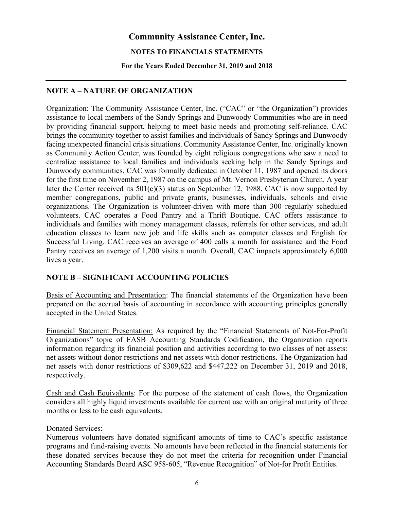#### **NOTES TO FINANCIALS STATEMENTS**

#### **For the Years Ended December 31, 2019 and 2018**

# **NOTE A – NATURE OF ORGANIZATION**

Organization: The Community Assistance Center, Inc. ("CAC" or "the Organization") provides assistance to local members of the Sandy Springs and Dunwoody Communities who are in need by providing financial support, helping to meet basic needs and promoting self-reliance. CAC brings the community together to assist families and individuals of Sandy Springs and Dunwoody facing unexpected financial crisis situations. Community Assistance Center, Inc. originally known as Community Action Center, was founded by eight religious congregations who saw a need to centralize assistance to local families and individuals seeking help in the Sandy Springs and Dunwoody communities. CAC was formally dedicated in October 11, 1987 and opened its doors for the first time on November 2, 1987 on the campus of Mt. Vernon Presbyterian Church. A year later the Center received its  $501(c)(3)$  status on September 12, 1988. CAC is now supported by member congregations, public and private grants, businesses, individuals, schools and civic organizations. The Organization is volunteer-driven with more than 300 regularly scheduled volunteers. CAC operates a Food Pantry and a Thrift Boutique. CAC offers assistance to individuals and families with money management classes, referrals for other services, and adult education classes to learn new job and life skills such as computer classes and English for Successful Living. CAC receives an average of 400 calls a month for assistance and the Food Pantry receives an average of 1,200 visits a month. Overall, CAC impacts approximately 6,000 lives a year.

# **NOTE B – SIGNIFICANT ACCOUNTING POLICIES**

Basis of Accounting and Presentation: The financial statements of the Organization have been prepared on the accrual basis of accounting in accordance with accounting principles generally accepted in the United States.

Financial Statement Presentation: As required by the "Financial Statements of Not-For-Profit Organizations" topic of FASB Accounting Standards Codification, the Organization reports information regarding its financial position and activities according to two classes of net assets: net assets without donor restrictions and net assets with donor restrictions. The Organization had net assets with donor restrictions of \$309,622 and \$447,222 on December 31, 2019 and 2018, respectively.

Cash and Cash Equivalents: For the purpose of the statement of cash flows, the Organization considers all highly liquid investments available for current use with an original maturity of three months or less to be cash equivalents.

## Donated Services:

Numerous volunteers have donated significant amounts of time to CAC's specific assistance programs and fund-raising events. No amounts have been reflected in the financial statements for these donated services because they do not meet the criteria for recognition under Financial Accounting Standards Board ASC 958-605, "Revenue Recognition" of Not-for Profit Entities.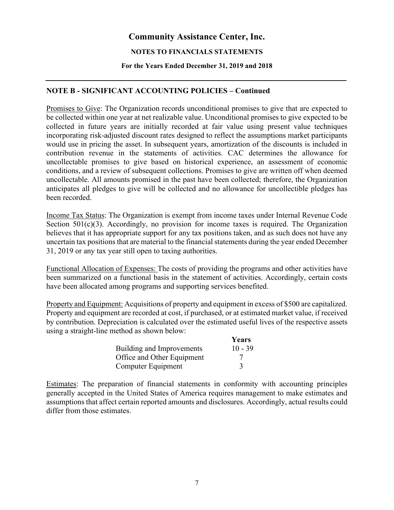## **NOTES TO FINANCIALS STATEMENTS**

#### **For the Years Ended December 31, 2019 and 2018**

# **NOTE B - SIGNIFICANT ACCOUNTING POLICIES – Continued**

Promises to Give: The Organization records unconditional promises to give that are expected to be collected within one year at net realizable value. Unconditional promises to give expected to be collected in future years are initially recorded at fair value using present value techniques incorporating risk-adjusted discount rates designed to reflect the assumptions market participants would use in pricing the asset. In subsequent years, amortization of the discounts is included in contribution revenue in the statements of activities. CAC determines the allowance for uncollectable promises to give based on historical experience, an assessment of economic conditions, and a review of subsequent collections. Promises to give are written off when deemed uncollectable. All amounts promised in the past have been collected; therefore, the Organization anticipates all pledges to give will be collected and no allowance for uncollectible pledges has been recorded.

Income Tax Status: The Organization is exempt from income taxes under Internal Revenue Code Section  $501(c)(3)$ . Accordingly, no provision for income taxes is required. The Organization believes that it has appropriate support for any tax positions taken, and as such does not have any uncertain tax positions that are material to the financial statements during the year ended December 31, 2019 or any tax year still open to taxing authorities.

Functional Allocation of Expenses: The costs of providing the programs and other activities have been summarized on a functional basis in the statement of activities. Accordingly, certain costs have been allocated among programs and supporting services benefited.

Property and Equipment: Acquisitions of property and equipment in excess of \$500 are capitalized. Property and equipment are recorded at cost, if purchased, or at estimated market value, if received by contribution. Depreciation is calculated over the estimated useful lives of the respective assets using a straight-line method as shown below:

|                            | Years     |
|----------------------------|-----------|
| Building and Improvements  | $10 - 39$ |
| Office and Other Equipment |           |
| Computer Equipment         |           |

Estimates: The preparation of financial statements in conformity with accounting principles generally accepted in the United States of America requires management to make estimates and assumptions that affect certain reported amounts and disclosures. Accordingly, actual results could differ from those estimates.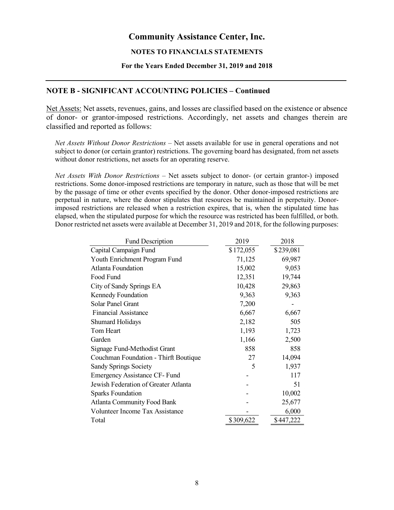#### **NOTES TO FINANCIALS STATEMENTS**

#### **For the Years Ended December 31, 2019 and 2018**

## **NOTE B - SIGNIFICANT ACCOUNTING POLICIES – Continued**

Net Assets: Net assets, revenues, gains, and losses are classified based on the existence or absence of donor- or grantor-imposed restrictions. Accordingly, net assets and changes therein are classified and reported as follows:

*Net Assets Without Donor Restrictions* – Net assets available for use in general operations and not subject to donor (or certain grantor) restrictions. The governing board has designated, from net assets without donor restrictions, net assets for an operating reserve.

*Net Assets With Donor Restrictions* – Net assets subject to donor- (or certain grantor-) imposed restrictions. Some donor-imposed restrictions are temporary in nature, such as those that will be met by the passage of time or other events specified by the donor. Other donor-imposed restrictions are perpetual in nature, where the donor stipulates that resources be maintained in perpetuity. Donorimposed restrictions are released when a restriction expires, that is, when the stipulated time has elapsed, when the stipulated purpose for which the resource was restricted has been fulfilled, or both. Donor restricted net assets were available at December 31, 2019 and 2018, for the following purposes:

| \$172,055<br>\$239,081<br>Capital Campaign Fund<br>Youth Enrichment Program Fund<br>71,125<br>69,987<br><b>Atlanta Foundation</b><br>15,002<br>9,053<br>Food Fund<br>12,351<br>19,744<br>10,428<br>City of Sandy Springs EA<br>29,863<br>Kennedy Foundation<br>9,363<br>9,363<br>Solar Panel Grant<br>7,200<br><b>Financial Assistance</b><br>6,667<br>6,667<br>2,182<br>505<br><b>Shumard Holidays</b><br>Tom Heart<br>1,193<br>1,723<br>Garden<br>1,166<br>2,500<br>858<br>858<br>Signage Fund-Methodist Grant<br>14,094<br>27<br>Couchman Foundation - Thirft Boutique<br>5<br>1,937<br><b>Sandy Springs Society</b><br><b>Emergency Assistance CF-Fund</b><br>117<br>Jewish Federation of Greater Atlanta<br>51<br>10,002<br><b>Sparks Foundation</b><br><b>Atlanta Community Food Bank</b><br>25,677<br><b>Volunteer Income Tax Assistance</b><br>6,000<br>\$309,622<br>\$447,222<br>Total | <b>Fund Description</b> | 2019 | 2018 |
|-------------------------------------------------------------------------------------------------------------------------------------------------------------------------------------------------------------------------------------------------------------------------------------------------------------------------------------------------------------------------------------------------------------------------------------------------------------------------------------------------------------------------------------------------------------------------------------------------------------------------------------------------------------------------------------------------------------------------------------------------------------------------------------------------------------------------------------------------------------------------------------------------|-------------------------|------|------|
|                                                                                                                                                                                                                                                                                                                                                                                                                                                                                                                                                                                                                                                                                                                                                                                                                                                                                                 |                         |      |      |
|                                                                                                                                                                                                                                                                                                                                                                                                                                                                                                                                                                                                                                                                                                                                                                                                                                                                                                 |                         |      |      |
|                                                                                                                                                                                                                                                                                                                                                                                                                                                                                                                                                                                                                                                                                                                                                                                                                                                                                                 |                         |      |      |
|                                                                                                                                                                                                                                                                                                                                                                                                                                                                                                                                                                                                                                                                                                                                                                                                                                                                                                 |                         |      |      |
|                                                                                                                                                                                                                                                                                                                                                                                                                                                                                                                                                                                                                                                                                                                                                                                                                                                                                                 |                         |      |      |
|                                                                                                                                                                                                                                                                                                                                                                                                                                                                                                                                                                                                                                                                                                                                                                                                                                                                                                 |                         |      |      |
|                                                                                                                                                                                                                                                                                                                                                                                                                                                                                                                                                                                                                                                                                                                                                                                                                                                                                                 |                         |      |      |
|                                                                                                                                                                                                                                                                                                                                                                                                                                                                                                                                                                                                                                                                                                                                                                                                                                                                                                 |                         |      |      |
|                                                                                                                                                                                                                                                                                                                                                                                                                                                                                                                                                                                                                                                                                                                                                                                                                                                                                                 |                         |      |      |
|                                                                                                                                                                                                                                                                                                                                                                                                                                                                                                                                                                                                                                                                                                                                                                                                                                                                                                 |                         |      |      |
|                                                                                                                                                                                                                                                                                                                                                                                                                                                                                                                                                                                                                                                                                                                                                                                                                                                                                                 |                         |      |      |
|                                                                                                                                                                                                                                                                                                                                                                                                                                                                                                                                                                                                                                                                                                                                                                                                                                                                                                 |                         |      |      |
|                                                                                                                                                                                                                                                                                                                                                                                                                                                                                                                                                                                                                                                                                                                                                                                                                                                                                                 |                         |      |      |
|                                                                                                                                                                                                                                                                                                                                                                                                                                                                                                                                                                                                                                                                                                                                                                                                                                                                                                 |                         |      |      |
|                                                                                                                                                                                                                                                                                                                                                                                                                                                                                                                                                                                                                                                                                                                                                                                                                                                                                                 |                         |      |      |
|                                                                                                                                                                                                                                                                                                                                                                                                                                                                                                                                                                                                                                                                                                                                                                                                                                                                                                 |                         |      |      |
|                                                                                                                                                                                                                                                                                                                                                                                                                                                                                                                                                                                                                                                                                                                                                                                                                                                                                                 |                         |      |      |
|                                                                                                                                                                                                                                                                                                                                                                                                                                                                                                                                                                                                                                                                                                                                                                                                                                                                                                 |                         |      |      |
|                                                                                                                                                                                                                                                                                                                                                                                                                                                                                                                                                                                                                                                                                                                                                                                                                                                                                                 |                         |      |      |
|                                                                                                                                                                                                                                                                                                                                                                                                                                                                                                                                                                                                                                                                                                                                                                                                                                                                                                 |                         |      |      |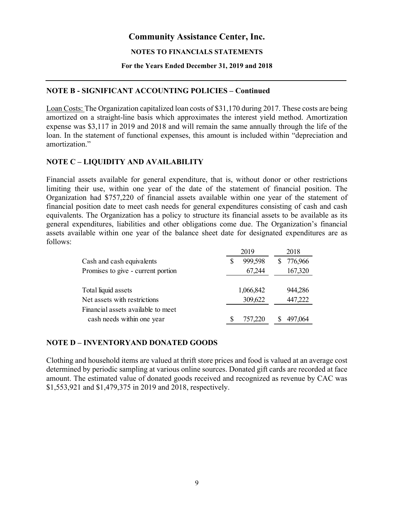#### **NOTES TO FINANCIALS STATEMENTS**

#### **For the Years Ended December 31, 2019 and 2018**

## **NOTE B - SIGNIFICANT ACCOUNTING POLICIES – Continued**

Loan Costs: The Organization capitalized loan costs of \$31,170 during 2017. These costs are being amortized on a straight-line basis which approximates the interest yield method. Amortization expense was \$3,117 in 2019 and 2018 and will remain the same annually through the life of the loan. In the statement of functional expenses, this amount is included within "depreciation and amortization."

# **NOTE C – LIQUIDITY AND AVAILABILITY**

Financial assets available for general expenditure, that is, without donor or other restrictions limiting their use, within one year of the date of the statement of financial position. The Organization had \$757,220 of financial assets available within one year of the statement of financial position date to meet cash needs for general expenditures consisting of cash and cash equivalents. The Organization has a policy to structure its financial assets to be available as its general expenditures, liabilities and other obligations come due. The Organization's financial assets available within one year of the balance sheet date for designated expenditures are as follows:

|                                    | 2019      | 2018          |
|------------------------------------|-----------|---------------|
| Cash and cash equivalents          | 999,598   | 776,966<br>S. |
| Promises to give - current portion | 67,244    | 167,320       |
|                                    |           |               |
| Total liquid assets                | 1,066,842 | 944,286       |
| Net assets with restrictions       | 309,622   | 447,222       |
| Financial assets available to meet |           |               |
| cash needs within one year         | 757,220   | 497,064       |
|                                    |           |               |

# **NOTE D – INVENTORYAND DONATED GOODS**

Clothing and household items are valued at thrift store prices and food is valued at an average cost determined by periodic sampling at various online sources. Donated gift cards are recorded at face amount. The estimated value of donated goods received and recognized as revenue by CAC was \$1,553,921 and \$1,479,375 in 2019 and 2018, respectively.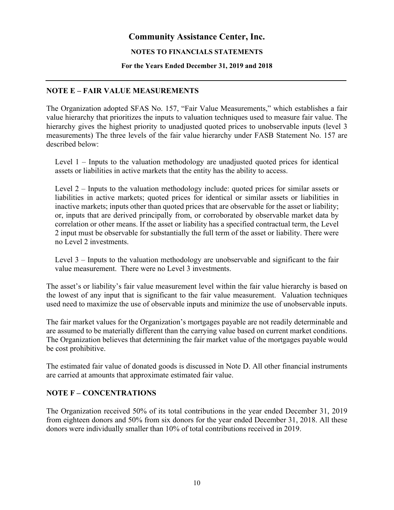## **NOTES TO FINANCIALS STATEMENTS**

#### **For the Years Ended December 31, 2019 and 2018**

## **NOTE E – FAIR VALUE MEASUREMENTS**

The Organization adopted SFAS No. 157, "Fair Value Measurements," which establishes a fair value hierarchy that prioritizes the inputs to valuation techniques used to measure fair value. The hierarchy gives the highest priority to unadjusted quoted prices to unobservable inputs (level 3 measurements) The three levels of the fair value hierarchy under FASB Statement No. 157 are described below:

Level 1 – Inputs to the valuation methodology are unadjusted quoted prices for identical assets or liabilities in active markets that the entity has the ability to access.

Level 2 – Inputs to the valuation methodology include: quoted prices for similar assets or liabilities in active markets; quoted prices for identical or similar assets or liabilities in inactive markets; inputs other than quoted prices that are observable for the asset or liability; or, inputs that are derived principally from, or corroborated by observable market data by correlation or other means. If the asset or liability has a specified contractual term, the Level 2 input must be observable for substantially the full term of the asset or liability. There were no Level 2 investments.

Level 3 – Inputs to the valuation methodology are unobservable and significant to the fair value measurement. There were no Level 3 investments.

The asset's or liability's fair value measurement level within the fair value hierarchy is based on the lowest of any input that is significant to the fair value measurement. Valuation techniques used need to maximize the use of observable inputs and minimize the use of unobservable inputs.

The fair market values for the Organization's mortgages payable are not readily determinable and are assumed to be materially different than the carrying value based on current market conditions. The Organization believes that determining the fair market value of the mortgages payable would be cost prohibitive.

The estimated fair value of donated goods is discussed in Note D. All other financial instruments are carried at amounts that approximate estimated fair value.

## **NOTE F – CONCENTRATIONS**

The Organization received 50% of its total contributions in the year ended December 31, 2019 from eighteen donors and 50% from six donors for the year ended December 31, 2018. All these donors were individually smaller than 10% of total contributions received in 2019.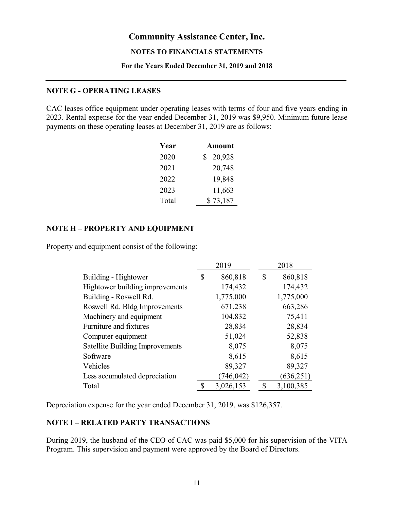#### **NOTES TO FINANCIALS STATEMENTS**

#### **For the Years Ended December 31, 2019 and 2018**

# **NOTE G - OPERATING LEASES**

CAC leases office equipment under operating leases with terms of four and five years ending in 2023. Rental expense for the year ended December 31, 2019 was \$9,950. Minimum future lease payments on these operating leases at December 31, 2019 are as follows:

| Year  | <b>Amount</b> |
|-------|---------------|
| 2020  | 20,928<br>S   |
| 2021  | 20,748        |
| 2022  | 19,848        |
| 2023  | 11,663        |
| Total | \$73,187      |

# **NOTE H – PROPERTY AND EQUIPMENT**

Property and equipment consist of the following:

|                                 | 2019          |   | 2018       |
|---------------------------------|---------------|---|------------|
| Building - Hightower            | \$<br>860,818 | S | 860,818    |
| Hightower building improvements | 174,432       |   | 174,432    |
| Building - Roswell Rd.          | 1,775,000     |   | 1,775,000  |
| Roswell Rd. Bldg Improvements   | 671,238       |   | 663,286    |
| Machinery and equipment         | 104,832       |   | 75,411     |
| Furniture and fixtures          | 28,834        |   | 28,834     |
| Computer equipment              | 51,024        |   | 52,838     |
| Satellite Building Improvements | 8,075         |   | 8,075      |
| Software                        | 8,615         |   | 8,615      |
| Vehicles                        | 89,327        |   | 89,327     |
| Less accumulated depreciation   | 746,042       |   | (636, 251) |
| Total                           | 3,026,153     | S | 3,100,385  |

Depreciation expense for the year ended December 31, 2019, was \$126,357.

# **NOTE I – RELATED PARTY TRANSACTIONS**

During 2019, the husband of the CEO of CAC was paid \$5,000 for his supervision of the VITA Program. This supervision and payment were approved by the Board of Directors.